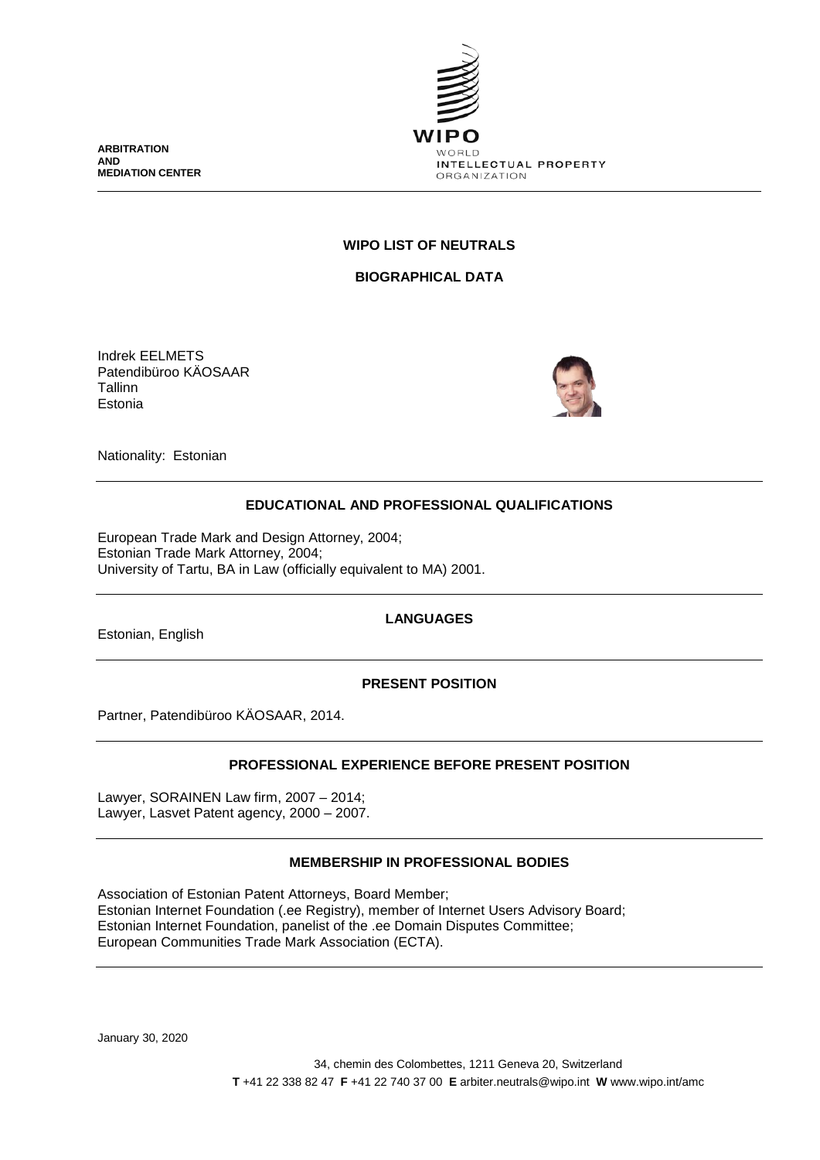**ARBITRATION AND MEDIATION CENTER**



# **WIPO LIST OF NEUTRALS**

**BIOGRAPHICAL DATA**

Indrek EELMETS Patendibüroo KÄOSAAR Tallinn Estonia



Nationality: Estonian

# **EDUCATIONAL AND PROFESSIONAL QUALIFICATIONS**

European Trade Mark and Design Attorney, 2004; Estonian Trade Mark Attorney, 2004; University of Tartu, BA in Law (officially equivalent to MA) 2001.

Estonian, English

**LANGUAGES**

# **PRESENT POSITION**

Partner, Patendibüroo KÄOSAAR, 2014.

# **PROFESSIONAL EXPERIENCE BEFORE PRESENT POSITION**

Lawyer, SORAINEN Law firm, 2007 – 2014; Lawyer, Lasvet Patent agency, 2000 – 2007.

# **MEMBERSHIP IN PROFESSIONAL BODIES**

Association of Estonian Patent Attorneys, Board Member; Estonian Internet Foundation (.ee Registry), member of Internet Users Advisory Board; Estonian Internet Foundation, panelist of the .ee Domain Disputes Committee; European Communities Trade Mark Association (ECTA).

January 30, 2020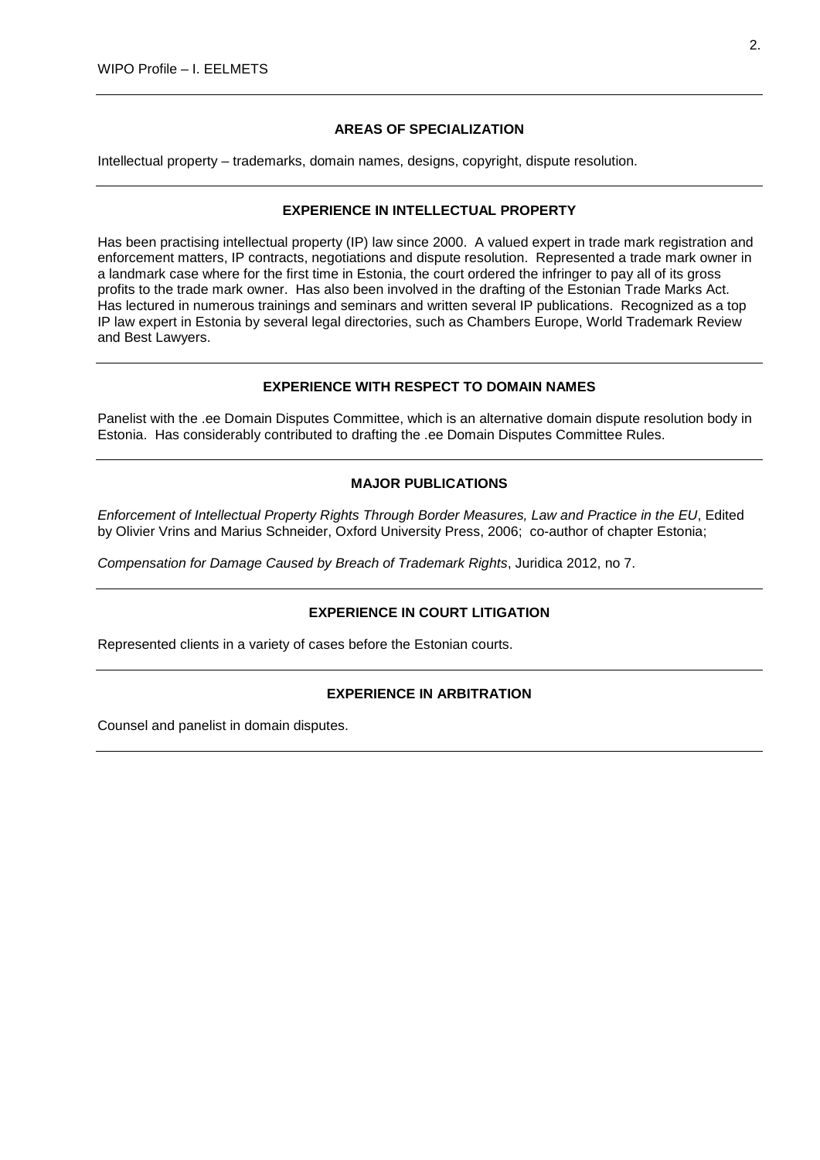### **AREAS OF SPECIALIZATION**

Intellectual property – trademarks, domain names, designs, copyright, dispute resolution.

#### **EXPERIENCE IN INTELLECTUAL PROPERTY**

Has been practising intellectual property (IP) law since 2000. A valued expert in trade mark registration and enforcement matters, IP contracts, negotiations and dispute resolution. Represented a trade mark owner in a landmark case where for the first time in Estonia, the court ordered the infringer to pay all of its gross profits to the trade mark owner. Has also been involved in the drafting of the Estonian Trade Marks Act. Has lectured in numerous trainings and seminars and written several IP publications. Recognized as a top IP law expert in Estonia by several legal directories, such as Chambers Europe, World Trademark Review and Best Lawyers.

## **EXPERIENCE WITH RESPECT TO DOMAIN NAMES**

Panelist with the .ee Domain Disputes Committee, which is an alternative domain dispute resolution body in Estonia. Has considerably contributed to drafting the .ee Domain Disputes Committee Rules.

#### **MAJOR PUBLICATIONS**

*Enforcement of Intellectual Property Rights Through Border Measures, Law and Practice in the EU*, Edited by Olivier Vrins and Marius Schneider, Oxford University Press, 2006; co-author of chapter Estonia;

*Compensation for Damage Caused by Breach of Trademark Rights*, Juridica 2012, no 7.

# **EXPERIENCE IN COURT LITIGATION**

Represented clients in a variety of cases before the Estonian courts.

## **EXPERIENCE IN ARBITRATION**

Counsel and panelist in domain disputes.